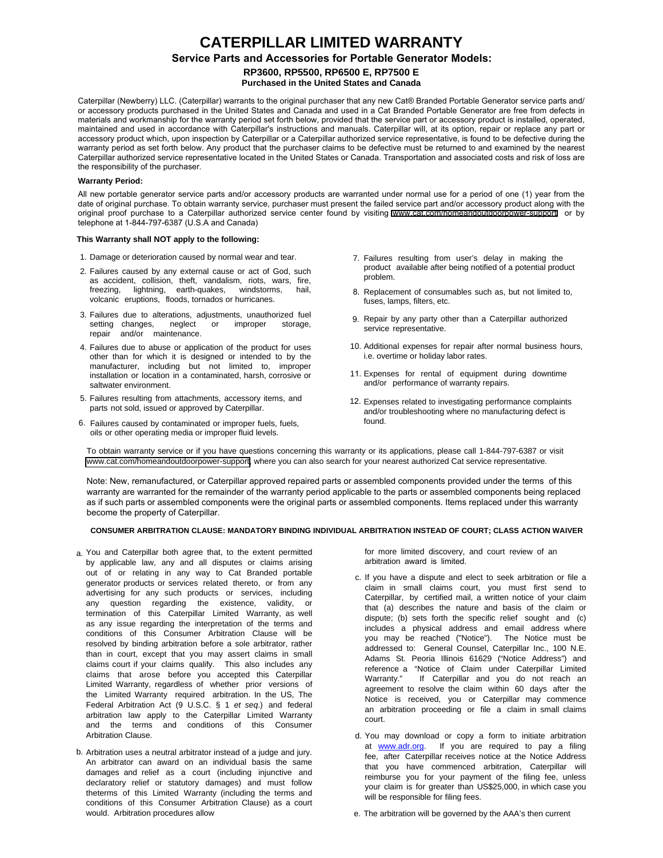## **CATERPILLAR LIMITED WARRANTY Service Parts and Accessories for Portable Generator Models: RP3600, RP5500, RP6500 E, RP7500 E Purchased in the United States and Canada**

Caterpillar (Newberry) LLC. (Caterpillar) warrants to the original purchaser that any new Cat® Branded Portable Generator service parts and/ or accessory products purchased in the United States and Canada and used in a Cat Branded Portable Generator are free from defects in materials and workmanship for the warranty period set forth below, provided that the service part or accessory product is installed, operated, maintained and used in accordance with Caterpillar's instructions and manuals. Caterpillar will, at its option, repair or replace any part or accessory product which, upon inspection by Caterpillar or a Caterpillar authorized service representative, is found to be defective during the warranty period as set forth below. Any product that the purchaser claims to be defective must be returned to and examined by the nearest Caterpillar authorized service representative located in the United States or Canada. Transportation and associated costs and risk of loss are the responsibility of the purchaser.

#### **Warranty Period:**

All new portable generator service parts and/or accessory products are warranted under normal use for a period of one (1) year from the date of original purchase. To obtain warranty service, purchaser must present the failed service part and/or accessory product along with the original proof purchase to a Caterpillar authorized service center found by visiting <www.cat.com/homeandoutdoorpower-support>or by telephone at 1-844-797-6387 (U.S.A and Canada)

#### **This Warranty shall NOT apply to the following:**

- 1. Damage or deterioration caused by normal wear and tear.
- 2. Failures caused by any external cause or act of God, such as accident, collision, theft, vandalism, riots, wars, fire, freezing, lightning, earth-quakes, windstorms, hail, volcanic eruptions, floods, tornados or hurricanes.
- 3. Failures due to alterations, adjustments, unauthorized fuel setting changes, neglect or improper storage, repair and/or maintenance.
- 4. Failures due to abuse or application of the product for uses other than for which it is designed or intended to by the manufacturer, including but not limited to, improper installation or location in a contaminated, harsh, corrosive or saltwater environment.
- 5. Failures resulting from attachments, accessory items, and parts not sold, issued or approved by Caterpillar.
- 6. Failures caused by contaminated or improper fuels, fuels, oils or other operating media or improper fluid levels.
- 7. Failures resulting from user's delay in making the product available after being notified of a potential product problem.
- 8. Replacement of consumables such as, but not limited to, fuses, lamps, filters, etc.
- 9. Repair by any party other than a Caterpillar authorized service representative.
- 10. Additional expenses for repair after normal business hours, i.e. overtime or holiday labor rates.
- 11. Expenses for rental of equipment during downtime and/or performance of warranty repairs.
- 12. Expenses related to investigating performance complaints and/or troubleshooting where no manufacturing defect is found.

To obtain warranty service or if you have questions concerning this warranty or its applications, please call 1-844-797-6387 or visit [www.cat.com/homeandoutdoorpower-support,](www.cat.com/homeandoutdoorpower-support) where you can also search for your nearest authorized Cat service representative.

Note: New, remanufactured, or Caterpillar approved repaired parts or assembled components provided under the terms of this warranty are warranted for the remainder of the warranty period applicable to the parts or assembled components being replaced as if such parts or assembled components were the original parts or assembled components. Items replaced under this warranty become the property of Caterpillar.

### **CONSUMER ARBITRATION CLAUSE: MANDATORY BINDING INDIVIDUAL ARBITRATION INSTEAD OF COURT; CLASS ACTION WAIVER**

- a. You and Caterpillar both agree that, to the extent permitted by applicable law, any and all disputes or claims arising out of or relating in any way to Cat Branded portable generator products or services related thereto, or from any advertising for any such products or services, including any question regarding the existence, validity, or termination of this Caterpillar Limited Warranty, as well as any issue regarding the interpretation of the terms and conditions of this Consumer Arbitration Clause will be resolved by binding arbitration before a sole arbitrator, rather than in court, except that you may assert claims in small claims court if your claims qualify. This also includes any claims that arose before you accepted this Caterpillar Limited Warranty, regardless of whether prior versions of the Limited Warranty required arbitration. In the US, The Federal Arbitration Act (9 U.S.C. § 1 *et seq*.) and federal arbitration law apply to the Caterpillar Limited Warranty and the terms and conditions of this Consumer Arbitration Clause.
- b. Arbitration uses a neutral arbitrator instead of a judge and jury. An arbitrator can award on an individual basis the same damages and relief as a court (including injunctive and declaratory relief or statutory damages) and must follow theterms of this Limited Warranty (including the terms and conditions of this Consumer Arbitration Clause) as a court would. Arbitration procedures allow

for more limited discovery, and court review of an arbitration award is limited.

- c. If you have a dispute and elect to seek arbitration or file a claim in small claims court, you must first send to Caterpillar, by certified mail, a written notice of your claim that (a) describes the nature and basis of the claim or dispute; (b) sets forth the specific relief sought and (c) includes a physical address and email address where you may be reached ("Notice"). The Notice must be addressed to: General Counsel, Caterpillar Inc., 100 N.E. Adams St. Peoria Illinois 61629 ("Notice Address") and reference a "Notice of Claim under Caterpillar Limited Warranty." If Caterpillar and you do not reach an agreement to resolve the claim within 60 days after the Notice is received, you or Caterpillar may commence an arbitration proceeding or file a claim in small claims court.
- d. You may download or copy a form to initiate arbitration at **[www.adr.org.](http://www.adr.org/)** If you are required to pay a filing fee, after Caterpillar receives notice at the Notice Address that you have commenced arbitration, Caterpillar will reimburse you for your payment of the filing fee, unless your claim is for greater than US\$25,000, in which case you will be responsible for filing fees.

e. The arbitration will be governed by the AAA's then current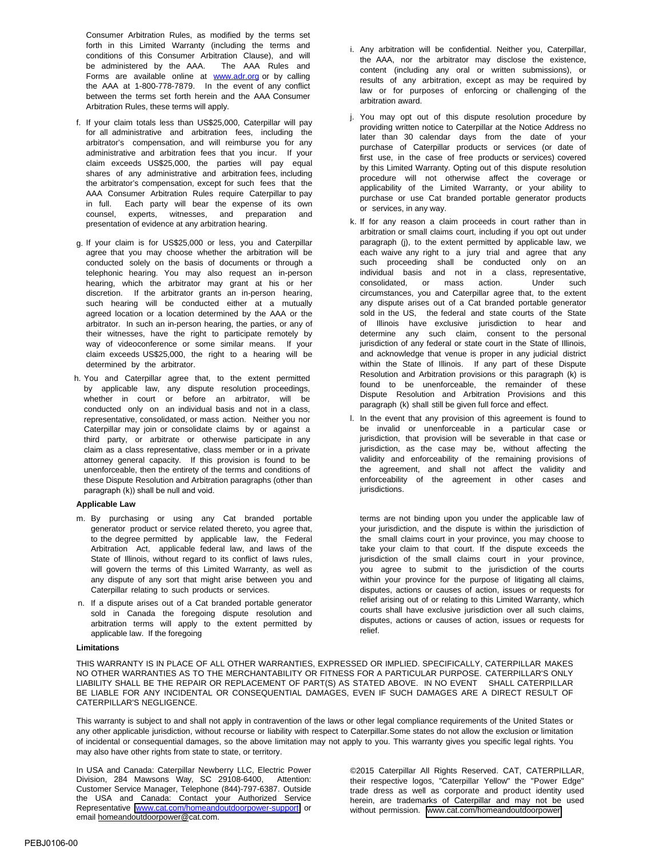Consumer Arbitration Rules, as modified by the terms set forth in this Limited Warranty (including the terms and conditions of this Consumer Arbitration Clause), and will be administered by the AAA. The AAA Rules and Forms are available online at **[www.adr.org](http://www.adr.org/)** or by calling the AAA at 1-800-778-7879. In the event of any conflict between the terms set forth herein and the AAA Consumer Arbitration Rules, these terms will apply.

- f. If your claim totals less than US\$25,000, Caterpillar will pay for all administrative and arbitration fees, including the arbitrator's compensation, and will reimburse you for any administrative and arbitration fees that you incur. If your claim exceeds US\$25,000, the parties will pay equal shares of any administrative and arbitration fees, including the arbitrator's compensation, except for such fees that the AAA Consumer Arbitration Rules require Caterpillar to pay in full. Each party will bear the expense of its own counsel, experts, witnesses, and preparation and presentation of evidence at any arbitration hearing.
- g. If your claim is for US\$25,000 or less, you and Caterpillar agree that you may choose whether the arbitration will be conducted solely on the basis of documents or through a telephonic hearing. You may also request an in-person hearing, which the arbitrator may grant at his or her discretion. If the arbitrator grants an in-person hearing, such hearing will be conducted either at a mutually agreed location or a location determined by the AAA or the arbitrator. In such an in-person hearing, the parties, or any of their witnesses, have the right to participate remotely by way of videoconference or some similar means. If your claim exceeds US\$25,000, the right to a hearing will be determined by the arbitrator.
- h. You and Caterpillar agree that, to the extent permitted by applicable law, any dispute resolution proceedings, whether in court or before an arbitrator, will be conducted only on an individual basis and not in a class, representative, consolidated, or mass action. Neither you nor Caterpillar may join or consolidate claims by or against a third party, or arbitrate or otherwise participate in any claim as a class representative, class member or in a private attorney general capacity. If this provision is found to be unenforceable, then the entirety of the terms and conditions of these Dispute Resolution and Arbitration paragraphs (other than paragraph (k)) shall be null and void.

#### **Applicable Law**

- m. By purchasing or using any Cat branded portable generator product or service related thereto, you agree that, to the degree permitted by applicable law, the Federal Arbitration Act, applicable federal law, and laws of the State of Illinois, without regard to its conflict of laws rules, will govern the terms of this Limited Warranty, as well as any dispute of any sort that might arise between you and Caterpillar relating to such products or services.
- n. If a dispute arises out of a Cat branded portable generator sold in Canada the foregoing dispute resolution and arbitration terms will apply to the extent permitted by applicable law. If the foregoing

#### **Limitations**

i. Any arbitration will be confidential. Neither you, Caterpillar, the AAA, nor the arbitrator may disclose the existence, content (including any oral or written submissions), or results of any arbitration, except as may be required by law or for purposes of enforcing or challenging of the arbitration award.

- j. You may opt out of this dispute resolution procedure by providing written notice to Caterpillar at the Notice Address no later than 30 calendar days from the date of your purchase of Caterpillar products or services (or date of first use, in the case of free products or services) covered by this Limited Warranty. Opting out of this dispute resolution procedure will not otherwise affect the coverage or applicability of the Limited Warranty, or your ability to purchase or use Cat branded portable generator products or services, in any way.
- k. If for any reason a claim proceeds in court rather than in arbitration or small claims court, including if you opt out under paragraph (j), to the extent permitted by applicable law, we each waive any right to a jury trial and agree that any such proceeding shall be conducted only on an individual basis and not in a class, representative, consolidated, or mass action. Under such circumstances, you and Caterpillar agree that, to the extent any dispute arises out of a Cat branded portable generator sold in the US, the federal and state courts of the State of Illinois have exclusive jurisdiction to hear and determine any such claim, consent to the personal jurisdiction of any federal or state court in the State of Illinois, and acknowledge that venue is proper in any judicial district within the State of Illinois. If any part of these Dispute Resolution and Arbitration provisions or this paragraph (k) is found to be unenforceable, the remainder of these Dispute Resolution and Arbitration Provisions and this paragraph (k) shall still be given full force and effect.
- l. In the event that any provision of this agreement is found to be invalid or unenforceable in a particular case or jurisdiction, that provision will be severable in that case or jurisdiction, as the case may be, without affecting the validity and enforceability of the remaining provisions of the agreement, and shall not affect the validity and enforceability of the agreement in other cases and jurisdictions.

terms are not binding upon you under the applicable law of your jurisdiction, and the dispute is within the jurisdiction of the small claims court in your province, you may choose to take your claim to that court. If the dispute exceeds the jurisdiction of the small claims court in your province, you agree to submit to the jurisdiction of the courts within your province for the purpose of litigating all claims, disputes, actions or causes of action, issues or requests for relief arising out of or relating to this Limited Warranty, which courts shall have exclusive jurisdiction over all such claims, disputes, actions or causes of action, issues or requests for relief.

THIS WARRANTY IS IN PLACE OF ALL OTHER WARRANTIES, EXPRESSED OR IMPLIED. SPECIFICALLY, CATERPILLAR MAKES NO OTHER WARRANTIES AS TO THE MERCHANTABILITY OR FITNESS FOR A PARTICULAR PURPOSE. CATERPILLAR'S ONLY LIABILITY SHALL BE THE REPAIR OR REPLACEMENT OF PART(S) AS STATED ABOVE. IN NO EVENT SHALL CATERPILLAR BE LIABLE FOR ANY INCIDENTAL OR CONSEQUENTIAL DAMAGES, EVEN IF SUCH DAMAGES ARE A DIRECT RESULT OF CATERPILLAR'S NEGLIGENCE.

This warranty is subject to and shall not apply in contravention of the laws or other legal compliance requirements of the United States or any other applicable jurisdiction, without recourse or liability with respect to Caterpillar.Some states do not allow the exclusion or limitation of incidental or consequential damages, so the above limitation may not apply to you. This warranty gives you specific legal rights. You may also have other rights from state to state, or territory.

In USA and Canada: Caterpillar Newberry LLC, Electric Power Division, 284 Mawsons Way, SC 29108-6400, Attention: Customer Service Manager, Telephone (844)-797-6387. Outside the USA and Canada: Contact your Authorized Service Representative <www.cat.com/homeandoutdoorpower-support> or email [homeandoutdoorpower@cat.com.](mailto:homeandoutdoorpower@cat.com)

©2015 Caterpillar All Rights Reserved. CAT, CATERPILLAR, their respective logos, "Caterpillar Yellow" the "Power Edge" trade dress as well as corporate and product identity used herein, are trademarks of Caterpillar and may not be used without permission. <www.cat.com/homeandoutdoorpower>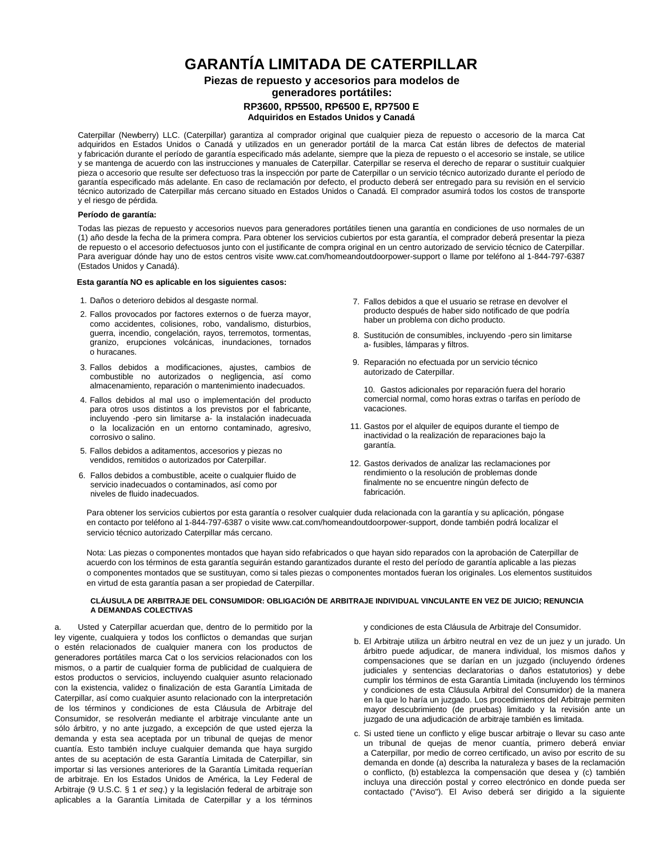## **GARANTÍA LIMITADA DE CATERPILLAR**

### **Piezas de repuesto y accesorios para modelos de generadores portátiles: RP3600, RP5500, RP6500 E, RP7500 E Adquiridos en Estados Unidos y Canadá**

Caterpillar (Newberry) LLC. (Caterpillar) garantiza al comprador original que cualquier pieza de repuesto o accesorio de la marca Cat adquiridos en Estados Unidos o Canadá y utilizados en un generador portátil de la marca Cat están libres de defectos de material y fabricación durante el período de garantía especificado más adelante, siempre que la pieza de repuesto o el accesorio se instale, se utilice y se mantenga de acuerdo con las instrucciones y manuales de Caterpillar. Caterpillar se reserva el derecho de reparar o sustituir cualquier pieza o accesorio que resulte ser defectuoso tras la inspección por parte de Caterpillar o un servicio técnico autorizado durante el período de garantía especificado más adelante. En caso de reclamación por defecto, el producto deberá ser entregado para su revisión en el servicio técnico autorizado de Caterpillar más cercano situado en Estados Unidos o Canadá. El comprador asumirá todos los costos de transporte y el riesgo de pérdida.

#### **Período de garantía:**

Todas las piezas de repuesto y accesorios nuevos para generadores portátiles tienen una garantía en condiciones de uso normales de un (1) año desde la fecha de la primera compra. Para obtener los servicios cubiertos por esta garantía, el comprador deberá presentar la pieza de repuesto o el accesorio defectuosos junto con el justificante de compra original en un centro autorizado de servicio técnico de Caterpillar. Para averiguar dónde hay uno de estos centros visite [www.cat.com/homeandoutdoorpower-support](http://www.cat.com/homeandoutdoorpower-support) o llame por teléfono al 1-844-797-6387 (Estados Unidos y Canadá).

#### **Esta garantía NO es aplicable en los siguientes casos:**

- 1. Daños o deterioro debidos al desgaste normal.
- 2. Fallos provocados por factores externos o de fuerza mayor, como accidentes, colisiones, robo, vandalismo, disturbios, guerra, incendio, congelación, rayos, terremotos, tormentas, granizo, erupciones volcánicas, inundaciones, tornados o huracanes.
- 3. Fallos debidos a modificaciones, ajustes, cambios de combustible no autorizados o negligencia, así como almacenamiento, reparación o mantenimiento inadecuados.
- 4. Fallos debidos al mal uso o implementación del producto para otros usos distintos a los previstos por el fabricante, incluyendo -pero sin limitarse a- la instalación inadecuada o la localización en un entorno contaminado, agresivo, corrosivo o salino.
- 5. Fallos debidos a aditamentos, accesorios y piezas no vendidos, remitidos o autorizados por Caterpillar.
- 6. Fallos debidos a combustible, aceite o cualquier fluido de servicio inadecuados o contaminados, así como por niveles de fluido inadecuados.
- 7. Fallos debidos a que el usuario se retrase en devolver el producto después de haber sido notificado de que podría haber un problema con dicho producto.
- 8. Sustitución de consumibles, incluyendo -pero sin limitarse a- fusibles, lámparas y filtros.
- 9. Reparación no efectuada por un servicio técnico autorizado de Caterpillar.

10. Gastos adicionales por reparación fuera del horario comercial normal, como horas extras o tarifas en período de vacaciones.

- 11. Gastos por el alquiler de equipos durante el tiempo de inactividad o la realización de reparaciones bajo la garantía.
- 12. Gastos derivados de analizar las reclamaciones por rendimiento o la resolución de problemas donde finalmente no se encuentre ningún defecto de fabricación.

Para obtener los servicios cubiertos por esta garantía o resolver cualquier duda relacionada con la garantía y su aplicación, póngase en contacto por teléfono al 1-844-797-6387 o visit[e www.cat.com/homeandoutdoorpower-support,](http://www.cat.com/homeandoutdoorpower-support) donde también podrá localizar el servicio técnico autorizado Caterpillar más cercano.

Nota: Las piezas o componentes montados que hayan sido refabricados o que hayan sido reparados con la aprobación de Caterpillar de acuerdo con los términos de esta garantía seguirán estando garantizados durante el resto del período de garantía aplicable a las piezas o componentes montados que se sustituyan, como si tales piezas o componentes montados fueran los originales. Los elementos sustituidos en virtud de esta garantía pasan a ser propiedad de Caterpillar.

#### **[CLÁUSULA DE ARBITRAJE DEL CONSUMIDOR: OB](http://www.cat.com/OutdoorPower)LIGACIÓN DE ARBITRAJE INDIVIDUAL VINCULANTE EN VEZ DE JUICIO; RENUNCIA A DEMANDAS COLECTIVAS**

a. Usted y Caterpillar acuerdan que, dentro de lo permitido por la ley vigente, cualquiera y todos los conflictos o demandas que surjan o estén relacionados de cualquier manera con los productos de generadores portátiles marca Cat o los servicios relacionados con los mismos, o a partir de cualquier forma de publicidad de cualquiera de estos productos o servicios, incluyendo cualquier asunto relacionado con la existencia, validez o finalización de esta Garantía Limitada de Caterpillar, así como cualquier asunto relacionado con la interpretación de los términos y condiciones de esta Cláusula de Arbitraje del Consumidor, se resolverán mediante el arbitraje vinculante ante un sólo árbitro, y no ante juzgado, a excepción de que usted ejerza la demanda y esta sea aceptada por un tribunal de quejas de menor cuantía. Esto también incluye cualquier demanda que haya surgido antes de su aceptación de esta Garantía Limitada de Caterpillar, sin importar si las versiones anteriores de la Garantía Limitada requerían de arbitraje. En los Estados Unidos de América, la Ley Federal de Arbitraje (9 U.S.C. § 1 *et seq*.) y la legislación federal de arbitraje son aplicables a la Garantía Limitada de Caterpillar y a los términos

y condiciones de esta Cláusula de Arbitraje del Consumidor.

- b. El Arbitraje utiliza un árbitro neutral en vez de un juez y un jurado. Un árbitro puede adjudicar, de manera individual, los mismos daños y compensaciones que se darían en un juzgado (incluyendo órdenes judiciales y sentencias declaratorias o daños estatutorios) y debe cumplir los términos de esta Garantía Limitada (incluyendo los términos y condiciones de esta Cláusula Arbitral del Consumidor) de la manera en la que lo haría un juzgado. Los procedimientos del Arbitraje permiten mayor descubrimiento (de pruebas) limitado y la revisión ante un juzgado de una adjudicación de arbitraje también es limitada.
- c. Si usted tiene un conflicto y elige buscar arbitraje o llevar su caso ante un tribunal de quejas de menor cuantía, primero deberá enviar a Caterpillar, por medio de correo certificado, un aviso por escrito de su demanda en donde (a) describa la naturaleza y bases de la reclamación o conflicto, (b) establezca la compensación que desea y (c) también incluya una dirección postal y correo electrónico en donde pueda ser contactado ("Aviso"). El Aviso deberá ser dirigido a la siguiente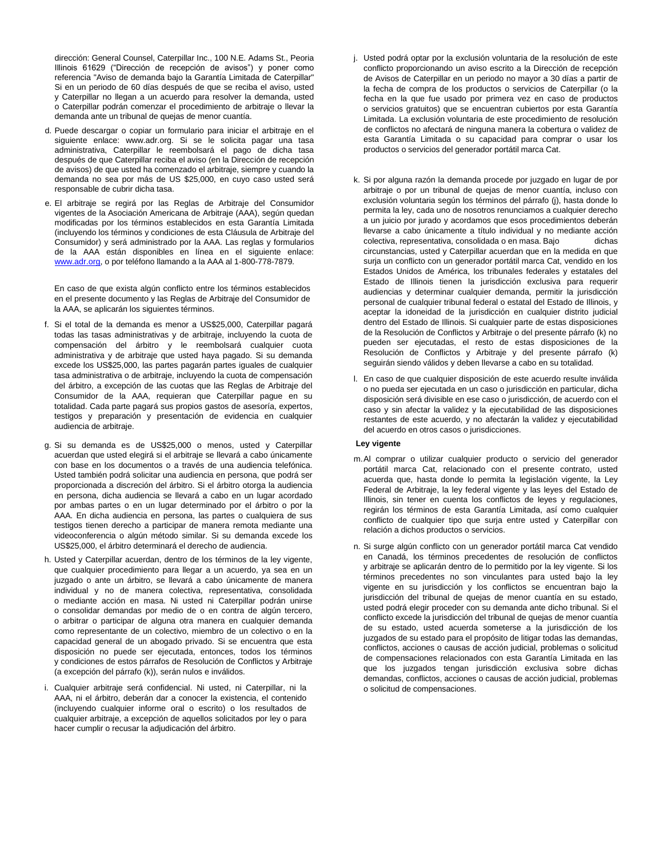dirección: General Counsel, Caterpillar Inc., 100 N.E. Adams St., Peoria Illinois 61629 ("Dirección de recepción de avisos") y poner como referencia "Aviso de demanda bajo la Garantía Limitada de Caterpillar" Si en un periodo de 60 días después de que se reciba el aviso, usted y Caterpillar no llegan a un acuerdo para resolver la demanda, usted o Caterpillar podrán comenzar el procedimiento de arbitraje o llevar la demanda ante un tribunal de quejas de menor cuantía.

- d. Puede descargar o copiar un formulario para iniciar el arbitraje en el siguiente enlace: www.adr.org. Si se le solicita pagar una tasa administrativa, Caterpillar le reembolsará el pago de dicha tasa después de que Caterpillar reciba el aviso (en la Dirección de recepción de avisos) de que usted ha comenzado el arbitraje, siempre y cuando la demanda no sea por más de US \$25,000, en cuyo caso usted será responsable de cubrir dicha tasa.
- e. El arbitraje se regirá por las Reglas de Arbitraje del Consumidor vigentes de la Asociación Americana de Arbitraje (AAA), según quedan modificadas por los términos establecidos en esta Garantía Limitada (incluyendo los términos y condiciones de esta Cláusula de Arbitraje del Consumidor) y será administrado por la AAA. Las reglas y formularios de la AAA están disponibles en línea en el siguiente enlace: [www.adr.org,](http://www.adr.org/) o por teléfono llamando a la AAA al 1-800-778-7879.

En caso de que exista algún conflicto [entre los](http://www.adr.org/) términos establecidos en el presente documento y las Reglas de Arbitraje del Consumidor de la AAA, se aplicarán los siguientes términos.

- f. Si el total de la demanda es menor a US\$25,000, Caterpillar pagará todas las tasas administrativas y de arbitraje, incluyendo la cuota de compensación del árbitro y le reembolsará cualquier cuota administrativa y de arbitraje que usted haya pagado. Si su demanda excede los US\$25,000, las partes pagarán partes iguales de cualquier tasa administrativa o de arbitraje, incluyendo la cuota de compensación del árbitro, a excepción de las cuotas que las Reglas de Arbitraje del Consumidor de la AAA, requieran que Caterpillar pague en su totalidad. Cada parte pagará sus propios gastos de asesoría, expertos, testigos y preparación y presentación de evidencia en cualquier audiencia de arbitraje.
- g. Si su demanda es de US\$25,000 o menos, usted y Caterpillar acuerdan que usted elegirá si el arbitraje se llevará a cabo únicamente con base en los documentos o a través de una audiencia telefónica. Usted también podrá solicitar una audiencia en persona, que podrá ser proporcionada a discreción del árbitro. Si el árbitro otorga la audiencia en persona, dicha audiencia se llevará a cabo en un lugar acordado por ambas partes o en un lugar determinado por el árbitro o por la AAA. En dicha audiencia en persona, las partes o cualquiera de sus testigos tienen derecho a participar de manera remota mediante una videoconferencia o algún método similar. Si su demanda excede los US\$25,000, el árbitro determinará el derecho de audiencia.
- h. Usted y Caterpillar acuerdan, dentro de los términos de la ley vigente, que cualquier procedimiento para llegar a un acuerdo, ya sea en un juzgado o ante un árbitro, se llevará a cabo únicamente de manera individual y no de manera colectiva, representativa, consolidada o mediante acción en masa. Ni usted ni Caterpillar podrán unirse o consolidar demandas por medio de o en contra de algún tercero, o arbitrar o participar de alguna otra manera en cualquier demanda como representante de un colectivo, miembro de un colectivo o en la capacidad general de un abogado privado. Si se encuentra que esta disposición no puede ser ejecutada, entonces, todos los términos y condiciones de estos párrafos de Resolución de Conflictos y Arbitraje (a excepción del párrafo (k)), serán nulos e inválidos.
- i. Cualquier arbitraje será confidencial. Ni usted, ni Caterpillar, ni la AAA, ni el árbitro, deberán dar a conocer la existencia, el contenido (incluyendo cualquier informe oral o escrito) o los resultados de cualquier arbitraje, a excepción de aquellos solicitados por ley o para hacer cumplir o recusar la adjudicación del árbitro.
- j. Usted podrá optar por la exclusión voluntaria de la resolución de este conflicto proporcionando un aviso escrito a la Dirección de recepción de Avisos de Caterpillar en un periodo no mayor a 30 días a partir de la fecha de compra de los productos o servicios de Caterpillar (o la fecha en la que fue usado por primera vez en caso de productos o servicios gratuitos) que se encuentran cubiertos por esta Garantía Limitada. La exclusión voluntaria de este procedimiento de resolución de conflictos no afectará de ninguna manera la cobertura o validez de esta Garantía Limitada o su capacidad para comprar o usar los productos o servicios del generador portátil marca Cat.
- k. Si por alguna razón la demanda procede por juzgado en lugar de por arbitraje o por un tribunal de quejas de menor cuantía, incluso con exclusión voluntaria según los términos del párrafo (j), hasta donde lo permita la ley, cada uno de nosotros renunciamos a cualquier derecho a un juicio por jurado y acordamos que esos procedimientos deberán llevarse a cabo únicamente a título individual y no mediante acción colectiva, representativa, consolidada o en masa. Bajo dichas circunstancias, usted y Caterpillar acuerdan que en la medida en que surja un conflicto con un generador portátil marca Cat, vendido en los Estados Unidos de América, los tribunales federales y estatales del Estado de Illinois tienen la jurisdicción exclusiva para requerir audiencias y determinar cualquier demanda, permitir la jurisdicción personal de cualquier tribunal federal o estatal del Estado de Illinois, y aceptar la idoneidad de la jurisdicción en cualquier distrito judicial dentro del Estado de Illinois. Si cualquier parte de estas disposiciones de la Resolución de Conflictos y Arbitraje o del presente párrafo (k) no pueden ser ejecutadas, el resto de estas disposiciones de la Resolución de Conflictos y Arbitraje y del presente párrafo (k) seguirán siendo válidos y deben llevarse a cabo en su totalidad.
- l. En caso de que cualquier disposición de este acuerdo resulte inválida o no pueda ser ejecutada en un caso o jurisdicción en particular, dicha disposición será divisible en ese caso o jurisdicción, de acuerdo con el caso y sin afectar la validez y la ejecutabilidad de las disposiciones restantes de este acuerdo, y no afectarán la validez y ejecutabilidad del acuerdo en otros casos o jurisdicciones.

#### **Ley vigente**

- m. Al comprar o utilizar cualquier producto o servicio del generador portátil marca Cat, relacionado con el presente contrato, usted acuerda que, hasta donde lo permita la legislación vigente, la Ley Federal de Arbitraje, la ley federal vigente y las leyes del Estado de Illinois, sin tener en cuenta los conflictos de leyes y regulaciones, regirán los términos de esta Garantía Limitada, así como cualquier conflicto de cualquier tipo que surja entre usted y Caterpillar con relación a dichos productos o servicios.
- n. Si surge algún conflicto con un generador portátil marca Cat vendido en Canadá, los términos precedentes de resolución de conflictos y arbitraje se aplicarán dentro de lo permitido por la ley vigente. Si los términos precedentes no son vinculantes para usted bajo la ley vigente en su jurisdicción y los conflictos se encuentran bajo la jurisdicción del tribunal de quejas de menor cuantía en su estado, usted podrá elegir proceder con su demanda ante dicho tribunal. Si el conflicto excede la jurisdicción del tribunal de quejas de menor cuantía de su estado, usted acuerda someterse a la jurisdicción de los juzgados de su estado para el propósito de litigar todas las demandas, conflictos, acciones o causas de acción judicial, problemas o solicitud de compensaciones relacionados con esta Garantía Limitada en las que los juzgados tengan jurisdicción exclusiva sobre dichas demandas, conflictos, acciones o causas de acción judicial, problemas o solicitud de compensaciones.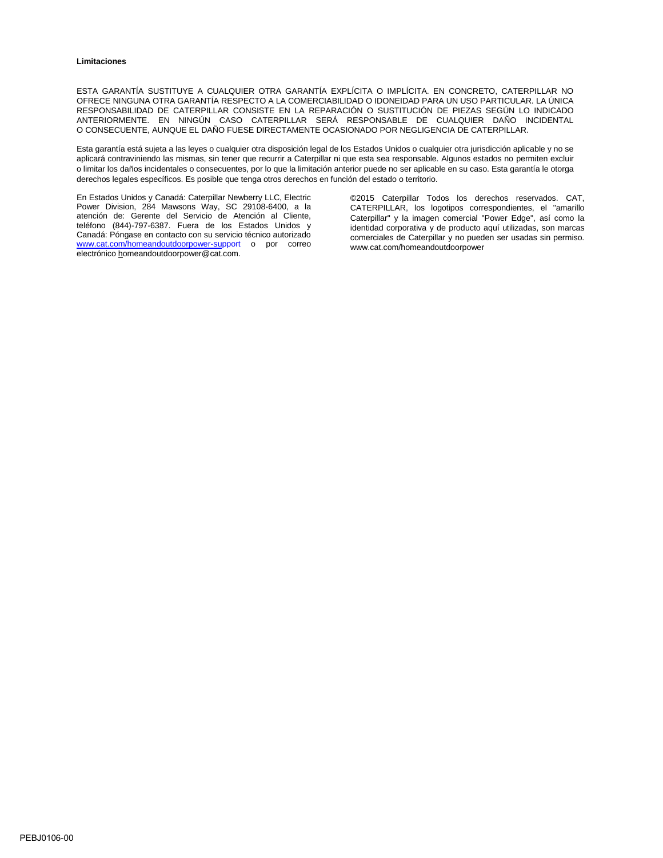#### **Limitaciones**

ESTA GARANTÍA SUSTITUYE A CUALQUIER OTRA GARANTÍA EXPLÍCITA O IMPLÍCITA. EN CONCRETO, CATERPILLAR NO OFRECE NINGUNA OTRA GARANTÍA RESPECTO A LA COMERCIABILIDAD O IDONEIDAD PARA UN USO PARTICULAR. LA ÚNICA RESPONSABILIDAD DE CATERPILLAR CONSISTE EN LA REPARACIÓN O SUSTITUCIÓN DE PIEZAS SEGÚN LO INDICADO ANTERIORMENTE. EN NINGÚN CASO CATERPILLAR SERÁ RESPONSABLE DE CUALQUIER DAÑO INCIDENTAL O CONSECUENTE, AUNQUE EL DAÑO FUESE DIRECTAMENTE OCASIONADO POR NEGLIGENCIA DE CATERPILLAR.

Esta garantía está sujeta a las leyes o cualquier otra disposición legal de los Estados Unidos o cualquier otra jurisdicción aplicable y no se aplicará contraviniendo las mismas, sin tener que recurrir a Caterpillar ni que esta sea responsable. Algunos estados no permiten excluir o limitar los daño[s incidentales o consecuentes,](mailto:homeandoutdoorpower@cat.com) por lo que la limitación anterior puede no ser aplicable en su caso. Esta garantía le otorga derechos legales específicos. Es posible que tenga otros derechos en función del estado o territorio.

En Estados Unidos y Canadá: Caterpillar Newberry LLC, Electric Power Division, 284 Mawsons Way, SC 29108-6400, a la atención de: Gerente del Servicio de Atención al Cliente, teléfono (844)-797-6387. Fuera de los Estados Unidos y Canadá: Póngase en contacto con su servicio técnico autorizado [www.cat.com/homeandoutdoorpower-support](http://www.cat.com/homeandoutdoorpower-support) o por correo electrónic[o homeandoutdoorpower@cat.com.](mailto:homeandoutdoorpower@cat.com)

©2015 Caterpillar Todos los derechos reservados. CAT, CATERPILLAR, los logotipos correspondientes, el "amarillo Caterpillar" y la imagen comercial "Power Edge", así como la identidad corporativa y de producto aquí utilizadas, son marcas comerciales de Caterpillar y no pueden ser usadas sin permiso. [www.cat.com/homeandoutdoorpower](http://www.cat.com/homeandoutdoorpower)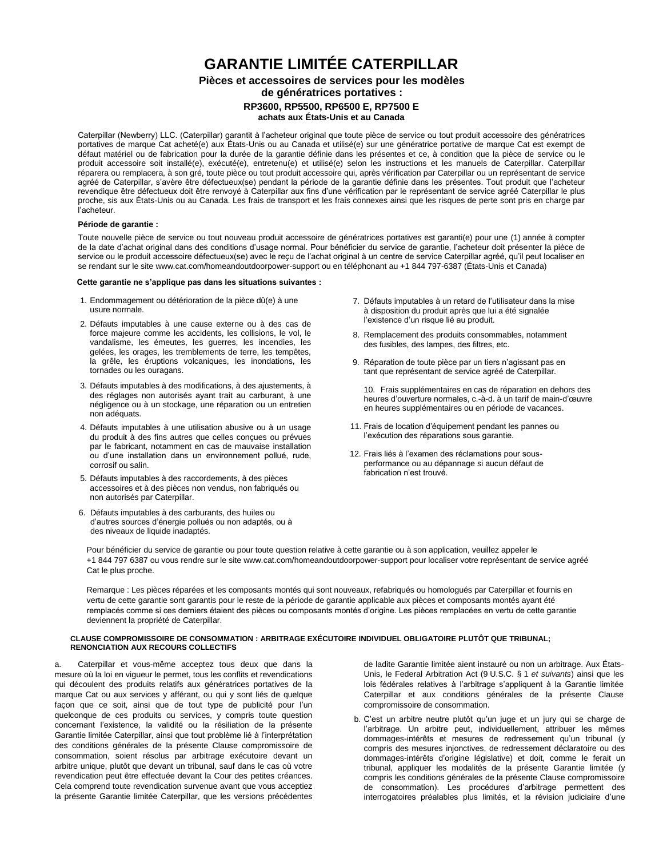# **GARANTIE LIMITÉE CATERPILLAR**

## **Pièces et accessoires de services pour les modèles de génératrices portatives : RP3600, RP5500, RP6500 E, RP7500 E achats aux États-Unis et au Canada**

Caterpillar (Newberry) LLC. (Caterpillar) garantit à l'acheteur original que toute pièce de service ou tout produit accessoire des génératrices portatives de marque Cat acheté(e) aux États-Unis ou au Canada et utilisé(e) sur une génératrice portative de marque Cat est exempt de défaut matériel ou de fabrication pour la durée de la garantie définie dans les présentes et ce, à condition que la pièce de service ou le produit accessoire soit installé(e), exécuté(e), entretenu(e) et utilisé(e) selon les instructions et les manuels de Caterpillar. Caterpillar réparera ou remplacera, à son gré, toute pièce ou tout produit accessoire qui, après vérification par Caterpillar ou un représentant de service agréé de Caterpillar, s'avère être défectueux(se) pendant la période de la garantie définie dans les présentes. Tout produit que l'acheteur revendique être défectueux doit être renvoyé à Caterpillar aux fins d'une vérification par le représentant de service agréé Caterpillar le plus proche, sis aux États-Unis ou au Canada. Les frais de transport et les frais connexes ainsi que les risques de perte sont pris en charge par l'acheteur.

#### **Période de garantie :**

Toute nouvelle pièce de service ou tout nouveau produit accessoire de génératrices portatives est garanti(e) pour une (1) année à compter de la date d'achat original dans des conditions d'usage normal. Pour bénéficier du service de garantie, l'acheteur doit présenter la pièce de service ou le produit accessoire défectueux(se) avec le reçu de l'achat original à un centre de service Caterpillar agréé, qu'il peut localiser en se rendant sur le sit[e www.cat.com/homeandoutdoorpower-support](http://www.cat.com/homeandoutdoorpower-support) ou en téléphonant au +1 844 797-6387 (États-Unis et Canada)

#### **Cette garantie ne s'applique pas dans les situations suivantes :**

- 1. Endommagement ou détérioration de la pièce dû(e) à une usure normale.
- 2. Défauts imputables à une cause externe ou à des cas de force majeure comme les accidents, les collisions, le vol, le vandalisme, les émeutes, les guerres, les incendies, les gelées, les orages, les tremblements de terre, les tempêtes, la grêle, les éruptions volcaniques, les inondations, les tornades ou les ouragans.
- 3. Défauts imputables à des modifications, à des ajustements, à des réglages non autorisés ayant trait au carburant, à une négligence ou à un stockage, une réparation ou un entretien non adéquats.
- 4. Défauts imputables à une utilisation abusive ou à un usage du produit à des fins autres que celles conçues ou prévues par le fabricant, notamment en cas de mauvaise installation ou d'une installation dans un environnement pollué, rude, corrosif ou salin.
- 5. Défauts imputables à des raccordements, à des pièces accessoires et à des pièces non vendus, non fabriqués ou non autorisés par Caterpillar.
- 6. Défauts imputables à des carburants, des huiles ou d'autres sources d'énergie pollués ou non adaptés, ou à des niveaux de liquide inadaptés.
- 7. Défauts imputables à un retard de l'utilisateur dans la mise à disposition du produit après que lui a été signalée l'existence d'un risque lié au produit.
- 8. Remplacement des produits consommables, notamment des fusibles, des lampes, des filtres, etc.
- 9. Réparation de toute pièce par un tiers n'agissant pas en tant que représentant de service agréé de Caterpillar.

10. Frais supplémentaires en cas de réparation en dehors des heures d'ouverture normales, c.-à-d. à un tarif de main-d'œuvre en heures supplémentaires ou en période de vacances.

- 11. Frais de location d'équipement pendant les pannes ou l'exécution des réparations sous garantie.
- 12. Frais liés à l'examen des réclamations pour sousperformance ou au dépannage si aucun défaut de fabrication n'est trouvé.

Pour bénéficier du service de garantie ou pour toute question relative à cette garantie ou à son application, veuillez appeler le +1 844 797 6387 ou vous rendre sur le sit[e www.cat.com/homeandoutdoorpower-support p](http://www.cat.com/homeandoutdoorpower-support)our localiser votre représentant de service agréé Cat le plus proche.

Remarque : Les pièces réparées et les composants montés qui sont nouveaux, refabriqués ou homologués par Caterpillar et fournis en vertu de cette garantie sont garantis pour le reste de la période de garantie applicable aux pièces et composants montés ayant été remplacés comme si ces derniers étaient des pièces ou composants montés d'origine. Les pièces remplacées en vertu de cette garantie deviennent la propriété de Caterpillar.

#### **[CLAUSE COMPROMISSOIRE DE CONSOMMATION : AR](http://www.cat.com/OutdoorPower)BITRAGE EXÉCUTOIRE INDIVIDUEL OBLIGATOIRE PLUTÔT QUE TRIBUNAL; RENONCIATION AUX RECOURS COLLECTIFS**

a. Caterpillar et vous-même acceptez tous deux que dans la mesure où la loi en vigueur le permet, tous les conflits et revendications qui découlent des produits relatifs aux génératrices portatives de la marque Cat ou aux services y afférant, ou qui y sont liés de quelque façon que ce soit, ainsi que de tout type de publicité pour l'un quelconque de ces produits ou services, y compris toute question concernant l'existence, la validité ou la résiliation de la présente Garantie limitée Caterpillar, ainsi que tout problème lié à l'interprétation des conditions générales de la présente Clause compromissoire de consommation, soient résolus par arbitrage exécutoire devant un arbitre unique, plutôt que devant un tribunal, sauf dans le cas où votre revendication peut être effectuée devant la Cour des petites créances. Cela comprend toute revendication survenue avant que vous acceptiez la présente Garantie limitée Caterpillar, que les versions précédentes

de ladite Garantie limitée aient instauré ou non un arbitrage. Aux États-Unis, le Federal Arbitration Act (9 U.S.C. § 1 *et suivants*) ainsi que les lois fédérales relatives à l'arbitrage s'appliquent à la Garantie limitée Caterpillar et aux conditions générales de la présente Clause compromissoire de consommation.

b. C'est un arbitre neutre plutôt qu'un juge et un jury qui se charge de l'arbitrage. Un arbitre peut, individuellement, attribuer les mêmes dommages-intérêts et mesures de redressement qu'un tribunal (y compris des mesures injonctives, de redressement déclaratoire ou des dommages-intérêts d'origine législative) et doit, comme le ferait un tribunal, appliquer les modalités de la présente Garantie limitée (y compris les conditions générales de la présente Clause compromissoire de consommation). Les procédures d'arbitrage permettent des interrogatoires préalables plus limités, et la révision judiciaire d'une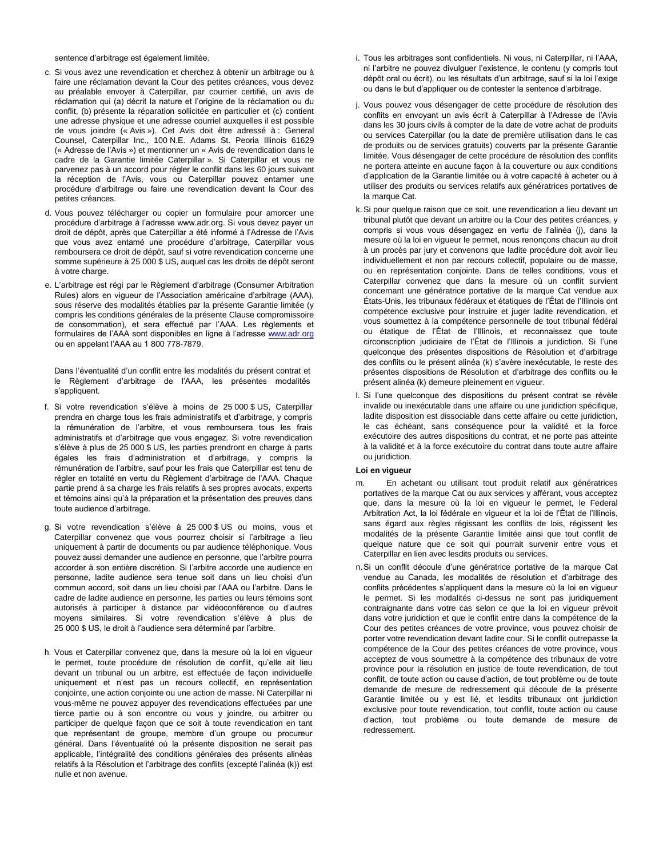sentence d'arbitrage est également limitée.

- c. Si vous avez une revendication et cherchez à obtenir un arbitrage ou à faire une réclamation devant la Cour des petites créances, vous devez au préalable envoyer à Caterpillar, par courrier certifié, un avis de réclamation qui (a) décrit la nature et l'origine de la réclamation ou du conflit, (b) présente la réparation sollicitée en particulier et (c) contient une adresse physique et une adresse courriel auxquelles il est possible de vous joindre (« Avis »). Cet Avis doit être adressé à : General Counsel, Caterpillar Inc., 100 N.E. Adams St. Peoria Illinois 61629 (« Adresse de l'Avis ») et mentionner un « Avis de revendication dans le cadre de la Garantie limitée Caterpillar ». Si Caterpillar et vous ne parvenez pas à un accord pour régler le conflit dans les 60 jours suivant la réception de l'Avis, vous ou Caterpillar pouvez entamer une procédure d'arbitrage ou faire une revendication devant la Cour des petites créances.
- d. Vous pouvez télécharger ou copier un formulaire pour amorcer une procédure d'arbitrage à l'adresse www.adr.org. Si vous devez payer un droit de dépôt, après que Caterpillar a été informé à l'Adresse de l'Avis que vous avez entamé une procédure d'arbitrage, Caterpillar vous remboursera ce droit de dépôt, sauf si votre revendication concerne une somme supérieure à 25 000 \$ US, auquel cas les droits de dépôt seront à votre charge.
- e. L'arbitrage est régi par le Règlement d'arbitrage (Consumer Arbitration Rules) alors en vigueur de l'Association américaine d'arbitrage (AAA), sous réserve des modalités établies par la présente Garantie limitée (y compris les conditions générales de la présente Clause compromissoire de consommation), et sera effectué par l'AAA. Les règlements et formulaires de l'AAA sont disponibles en ligne à l'adresse [www.adr.org](http://www.adr.org/) ou en appelant l'AAA au 1 800 778-7879.

Dans l'éventualité d'un conflit [entre les](http://www.adr.org/) modalités du présent contrat et le Règlement d'arbitrage de l'AAA, les présentes modalités s'appliquent.

- f. Si votre revendication s'élève à moins de 25 000 \$ US, Caterpillar prendra en charge tous les frais administratifs et d'arbitrage, y compris la rémunération de l'arbitre, et vous remboursera tous les frais administratifs et d'arbitrage que vous engagez. Si votre revendication s'élève à plus de 25 000 \$ US, les parties prendront en charge à parts égales les frais d'administration et d'arbitrage, y compris la rémunération de l'arbitre, sauf pour les frais que Caterpillar est tenu de régler en totalité en vertu du Règlement d'arbitrage de l'AAA. Chaque partie prend à sa charge les frais relatifs à ses propres avocats, experts et témoins ainsi qu'à la préparation et la présentation des preuves dans toute audience d'arbitrage.
- g. Si votre revendication s'élève à 25 000 \$ US ou moins, vous et Caterpillar convenez que vous pourrez choisir si l'arbitrage a lieu uniquement à partir de documents ou par audience téléphonique. Vous pouvez aussi demander une audience en personne, que l'arbitre pourra accorder à son entière discrétion. Si l'arbitre accorde une audience en personne, ladite audience sera tenue soit dans un lieu choisi d'un commun accord, soit dans un lieu choisi par l'AAA ou l'arbitre. Dans le cadre de ladite audience en personne, les parties ou leurs témoins sont autorisés à participer à distance par vidéoconférence ou d'autres moyens similaires. Si votre revendication s'élève à plus de 25 000 \$ US, le droit à l'audience sera déterminé par l'arbitre.
- h. Vous et Caterpillar convenez que, dans la mesure où la loi en vigueur le permet, toute procédure de résolution de conflit, qu'elle ait lieu devant un tribunal ou un arbitre, est effectuée de façon individuelle uniquement et n'est pas un recours collectif, en représentation conjointe, une action conjointe ou une action de masse. Ni Caterpillar ni vous-même ne pouvez appuyer des revendications effectuées par une tierce partie ou à son encontre ou vous y joindre, ou arbitrer ou participer de quelque façon que ce soit à toute revendication en tant que représentant de groupe, membre d'un groupe ou procureur général. Dans l'éventualité où la présente disposition ne serait pas applicable, l'intégralité des conditions générales des présents alinéas relatifs à la Résolution et l'arbitrage des conflits (excepté l'alinéa (k)) est nulle et non avenue.
- i. Tous les arbitrages sont confidentiels. Ni vous, ni Caterpillar, ni l'AAA, ni l'arbitre ne pouvez divulguer l'existence, le contenu (y compris tout dépôt oral ou écrit), ou les résultats d'un arbitrage, sauf si la loi l'exige ou dans le but d'appliquer ou de contester la sentence d'arbitrage.
- j. Vous pouvez vous désengager de cette procédure de résolution des conflits en envoyant un avis écrit à Caterpillar à l'Adresse de l'Avis dans les 30 jours civils à compter de la date de votre achat de produits ou services Caterpillar (ou la date de première utilisation dans le cas de produits ou de services gratuits) couverts par la présente Garantie limitée. Vous désengager de cette procédure de résolution des conflits ne portera atteinte en aucune façon à la couverture ou aux conditions d'application de la Garantie limitée ou à votre capacité à acheter ou à utiliser des produits ou services relatifs aux génératrices portatives de la marque Cat.
- k.Si pour quelque raison que ce soit, une revendication a lieu devant un tribunal plutôt que devant un arbitre ou la Cour des petites créances, y compris si vous vous désengagez en vertu de l'alinéa (j), dans la mesure où la loi en vigueur le permet, nous renonçons chacun au droit à un procès par jury et convenons que ladite procédure doit avoir lieu individuellement et non par recours collectif, populaire ou de masse, ou en représentation conjointe. Dans de telles conditions, vous et Caterpillar convenez que dans la mesure où un conflit survient concernant une génératrice portative de la marque Cat vendue aux États-Unis, les tribunaux fédéraux et étatiques de l'État de l'Illinois ont compétence exclusive pour instruire et juger ladite revendication, et vous soumettez à la compétence personnelle de tout tribunal fédéral ou étatique de l'État de l'Illinois, et reconnaissez que toute circonscription judiciaire de l'État de l'Illinois a juridiction. Si l'une quelconque des présentes dispositions de Résolution et d'arbitrage des conflits ou le présent alinéa (k) s'avère inexécutable, le reste des présentes dispositions de Résolution et d'arbitrage des conflits ou le présent alinéa (k) demeure pleinement en vigueur.
- l. Si l'une quelconque des dispositions du présent contrat se révèle invalide ou inexécutable dans une affaire ou une juridiction spécifique, ladite disposition est dissociable dans cette affaire ou cette juridiction, le cas échéant, sans conséquence pour la validité et la force exécutoire des autres dispositions du contrat, et ne porte pas atteinte à la validité et à la force exécutoire du contrat dans toute autre affaire ou juridiction.

#### **Loi en vigueur**

- En achetant ou utilisant tout produit relatif aux génératrices portatives de la marque Cat ou aux services y afférant, vous acceptez que, dans la mesure où la loi en vigueur le permet, le Federal Arbitration Act, la loi fédérale en vigueur et la loi de l'État de l'Illinois, sans égard aux règles régissant les conflits de lois, régissent les modalités de la présente Garantie limitée ainsi que tout conflit de quelque nature que ce soit qui pourrait survenir entre vous et Caterpillar en lien avec lesdits produits ou services.
- n.Si un conflit découle d'une génératrice portative de la marque Cat vendue au Canada, les modalités de résolution et d'arbitrage des conflits précédentes s'appliquent dans la mesure où la loi en vigueur le permet. Si les modalités ci-dessus ne sont pas juridiquement contraignante dans votre cas selon ce que la loi en vigueur prévoit dans votre juridiction et que le conflit entre dans la compétence de la Cour des petites créances de votre province, vous pouvez choisir de porter votre revendication devant ladite cour. Si le conflit outrepasse la compétence de la Cour des petites créances de votre province, vous acceptez de vous soumettre à la compétence des tribunaux de votre province pour la résolution en justice de toute revendication, de tout conflit, de toute action ou cause d'action, de tout problème ou de toute demande de mesure de redressement qui découle de la présente Garantie limitée ou y est lié, et lesdits tribunaux ont juridiction exclusive pour toute revendication, tout conflit, toute action ou cause d'action, tout problème ou toute demande de mesure de redressement.